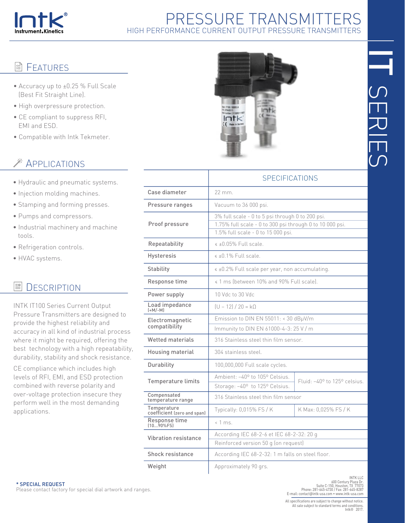

# PRESSURE TRANSMITTERS HIGH PERFORMANCE CURRENT OUTPUT PRESSURE TRANSMITTERS

## **E** FEATURES

- Accuracy up to ±0.25 % Full Scale (Best Fit Straight Line).
- High overpressure protection.
- CE compliant to suppress RFI, EMI and ESD.
- Compatible with Intk Tekmeter.

# **EXAMPLICATIONS**

- Hydraulic and pneumatic systems.
- Injection molding machines.
- Stamping and forming presses.
- Pumps and compressors.
- Industrial machinery and machine tools.
- Refrigeration controls.
- HVAC systems.

#### 릨 **DESCRIPTION**

INTK IT100 Series Current Output Pressure Transmitters are designed to provide the highest reliability and accuracy in all kind of industrial process where it might be required, offering the best technology with a high repeatability, durability, stability and shock resistance.

CE compliance which includes high levels of RFI, EMI, and ESD protection combined with reverse polarity and over-voltage protection insecure they perform well in the most demanding applications.



|                                            | SPECIFICATIONS                                                                                                                                     |                              |  |
|--------------------------------------------|----------------------------------------------------------------------------------------------------------------------------------------------------|------------------------------|--|
| Case diameter                              | 22 mm.                                                                                                                                             |                              |  |
| Pressure ranges                            | Vacuum to 36 000 psi.                                                                                                                              |                              |  |
| Proof pressure                             | 3% full scale - 0 to 5 psi through 0 to 200 psi.<br>1.75% full scale - 0 to 300 psi through 0 to 10 000 psi.<br>1.5% full scale - 0 to 15 000 psi. |                              |  |
| Repeatability                              | $\leq$ ±0.05% Full scale.                                                                                                                          |                              |  |
| Hysteresis                                 | $\leq$ +0.1% Full scale.                                                                                                                           |                              |  |
| Stability                                  | « ±0.2% Full scale per year, non accumulating.                                                                                                     |                              |  |
| Response time                              | « 1 ms (between 10% and 90% Full scale).                                                                                                           |                              |  |
| Power supply                               | 10 Vdc to 30 Vdc                                                                                                                                   |                              |  |
| Load impedance<br>$[+M/-M]$                | $(U - 12) / 20 = k\Omega$                                                                                                                          |                              |  |
| Electromagnetic                            | Emission to DIN EN 55011: < 30 dBµV/m                                                                                                              |                              |  |
| compatibility                              | Immunity to DIN EN 61000-4-3: 25 V / m                                                                                                             |                              |  |
| <b>Wetted materials</b>                    | 316 Stainless steel thin film sensor.                                                                                                              |                              |  |
| Housing material                           | 304 stainless steel.                                                                                                                               |                              |  |
| Durability                                 | 100,000,000 Full scale cycles.                                                                                                                     |                              |  |
| <b>Temperature limits</b>                  | Ambient: -40° to 105° Celsius.                                                                                                                     | Fluid: -40° to 125° celsius. |  |
|                                            | Storage: -40° to 125° Celsius.                                                                                                                     |                              |  |
| Compensated<br>temperature range           | 316 Stainless steel thin film sensor                                                                                                               |                              |  |
| Temperature<br>coefficient (zero and span) | Typically: 0,015% FS / K                                                                                                                           | K Max: 0,025% FS / K         |  |
| Response time<br>$[1090\%$ FSI             | $< 1$ ms.                                                                                                                                          |                              |  |
| <b>Vibration resistance</b>                | According IEC 68-2-6 et IEC 68-2-32: 20 g                                                                                                          |                              |  |
|                                            | Reinforced version 50 g (on request)                                                                                                               |                              |  |
| Shock resistance                           | According IEC 68-2-32: 1 m falls on steel floor.                                                                                                   |                              |  |
| Weight                                     | Approximately 90 grs.                                                                                                                              |                              |  |